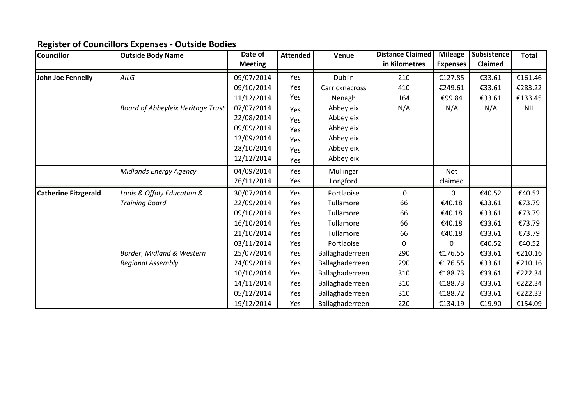## **Register of Councillors Expenses - Outside Bodies**

| <b>Councillor</b>           | <b>Outside Body Name</b>                 | Date of        | <b>Attended</b> | Venue           | <b>Distance Claimed</b> | <b>Mileage</b>  | Subsistence | <b>Total</b> |
|-----------------------------|------------------------------------------|----------------|-----------------|-----------------|-------------------------|-----------------|-------------|--------------|
|                             |                                          | <b>Meeting</b> |                 |                 | in Kilometres           | <b>Expenses</b> | Claimed     |              |
| John Joe Fennelly           | AILG                                     | 09/07/2014     | Yes             | Dublin          | 210                     | €127.85         | €33.61      | €161.46      |
|                             |                                          | 09/10/2014     | Yes             | Carricknacross  | 410                     | €249.61         | €33.61      | €283.22      |
|                             |                                          | 11/12/2014     | Yes             | Nenagh          | 164                     | €99.84          | €33.61      | €133.45      |
|                             | <b>Board of Abbeyleix Heritage Trust</b> | 07/07/2014     | Yes             | Abbeyleix       | N/A                     | N/A             | N/A         | <b>NIL</b>   |
|                             |                                          | 22/08/2014     | Yes             | Abbeyleix       |                         |                 |             |              |
|                             |                                          | 09/09/2014     | Yes             | Abbeyleix       |                         |                 |             |              |
|                             |                                          | 12/09/2014     | Yes             | Abbeyleix       |                         |                 |             |              |
|                             |                                          | 28/10/2014     | Yes             | Abbeyleix       |                         |                 |             |              |
|                             |                                          | 12/12/2014     | Yes             | Abbeyleix       |                         |                 |             |              |
|                             | Midlands Energy Agency                   | 04/09/2014     | Yes             | Mullingar       |                         | <b>Not</b>      |             |              |
|                             |                                          | 26/11/2014     | Yes             | Longford        |                         | claimed         |             |              |
| <b>Catherine Fitzgerald</b> | Laois & Offaly Education &               | 30/07/2014     | Yes             | Portlaoise      | 0                       | 0               | €40.52      | €40.52       |
|                             | <b>Training Board</b>                    | 22/09/2014     | Yes             | Tullamore       | 66                      | €40.18          | €33.61      | €73.79       |
|                             |                                          | 09/10/2014     | Yes             | Tullamore       | 66                      | €40.18          | €33.61      | €73.79       |
|                             |                                          | 16/10/2014     | Yes             | Tullamore       | 66                      | €40.18          | €33.61      | €73.79       |
|                             |                                          | 21/10/2014     | Yes             | Tullamore       | 66                      | €40.18          | €33.61      | €73.79       |
|                             |                                          | 03/11/2014     | Yes             | Portlaoise      | 0                       | $\Omega$        | €40.52      | €40.52       |
|                             | Border, Midland & Western                | 25/07/2014     | Yes             | Ballaghaderreen | 290                     | €176.55         | €33.61      | €210.16      |
|                             | <b>Regional Assembly</b>                 | 24/09/2014     | Yes             | Ballaghaderreen | 290                     | €176.55         | €33.61      | €210.16      |
|                             |                                          | 10/10/2014     | Yes             | Ballaghaderreen | 310                     | €188.73         | €33.61      | €222.34      |
|                             |                                          | 14/11/2014     | Yes             | Ballaghaderreen | 310                     | €188.73         | €33.61      | €222.34      |
|                             |                                          | 05/12/2014     | Yes             | Ballaghaderreen | 310                     | €188.72         | €33.61      | €222.33      |
|                             |                                          | 19/12/2014     | Yes             | Ballaghaderreen | 220                     | €134.19         | €19.90      | €154.09      |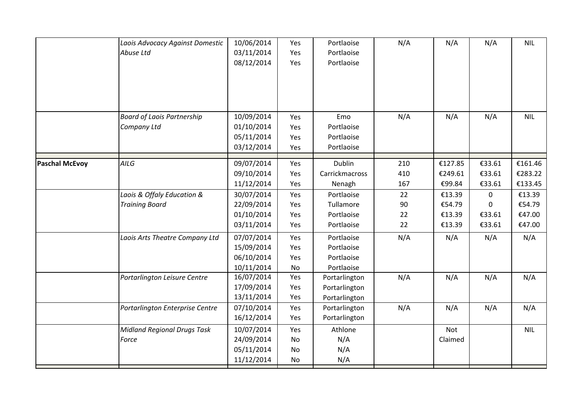|                       | Laois Advocacy Against Domestic             | 10/06/2014               | Yes        | Portlaoise                  | N/A      | N/A     | N/A    | <b>NIL</b> |
|-----------------------|---------------------------------------------|--------------------------|------------|-----------------------------|----------|---------|--------|------------|
|                       | Abuse Ltd                                   | 03/11/2014               | Yes        | Portlaoise                  |          |         |        |            |
|                       |                                             | 08/12/2014               | Yes        | Portlaoise                  |          |         |        |            |
|                       |                                             |                          |            |                             |          |         |        |            |
|                       |                                             |                          |            |                             |          |         |        |            |
|                       |                                             |                          |            |                             |          |         |        |            |
|                       |                                             |                          |            |                             |          |         |        |            |
|                       | <b>Board of Laois Partnership</b>           | 10/09/2014               | Yes        | Emo                         | N/A      | N/A     | N/A    | <b>NIL</b> |
|                       | Company Ltd                                 | 01/10/2014               | Yes        | Portlaoise                  |          |         |        |            |
|                       |                                             | 05/11/2014               | Yes        | Portlaoise                  |          |         |        |            |
|                       |                                             | 03/12/2014               | Yes        | Portlaoise                  |          |         |        |            |
|                       | AILG                                        |                          |            | Dublin                      | 210      | €127.85 | €33.61 | €161.46    |
| <b>Paschal McEvoy</b> |                                             | 09/07/2014<br>09/10/2014 | Yes<br>Yes | Carrickmacross              | 410      | €249.61 | €33.61 | €283.22    |
|                       |                                             | 11/12/2014               | Yes        | Nenagh                      | 167      | €99.84  | €33.61 | €133.45    |
|                       | Laois & Offaly Education &                  | 30/07/2014               |            | Portlaoise                  |          | €13.39  |        | €13.39     |
|                       |                                             | 22/09/2014               | Yes<br>Yes | Tullamore                   | 22<br>90 | €54.79  | 0<br>0 | €54.79     |
|                       | <b>Training Board</b>                       | 01/10/2014               | Yes        | Portlaoise                  | 22       | €13.39  | €33.61 | €47.00     |
|                       |                                             | 03/11/2014               | Yes        | Portlaoise                  | 22       | €13.39  | €33.61 | €47.00     |
|                       |                                             |                          |            |                             |          |         |        |            |
|                       | Laois Arts Theatre Company Ltd              | 07/07/2014               | Yes        | Portlaoise                  | N/A      | N/A     | N/A    | N/A        |
|                       |                                             | 15/09/2014               | Yes        | Portlaoise                  |          |         |        |            |
|                       |                                             | 06/10/2014               | Yes        | Portlaoise                  |          |         |        |            |
|                       |                                             | 10/11/2014<br>16/07/2014 | No<br>Yes  | Portlaoise<br>Portarlington | N/A      | N/A     | N/A    | N/A        |
|                       | Portarlington Leisure Centre                | 17/09/2014               | Yes        | Portarlington               |          |         |        |            |
|                       |                                             | 13/11/2014               | Yes        | Portarlington               |          |         |        |            |
|                       | Portarlington Enterprise Centre             | 07/10/2014               | Yes        | Portarlington               | N/A      | N/A     | N/A    | N/A        |
|                       |                                             | 16/12/2014               | Yes        | Portarlington               |          |         |        |            |
|                       |                                             |                          |            | Athlone                     |          |         |        | <b>NIL</b> |
|                       | <b>Midland Regional Drugs Task</b><br>Force | 10/07/2014<br>24/09/2014 | Yes<br>No  | N/A                         |          | Not     |        |            |
|                       |                                             | 05/11/2014               | No         | N/A                         |          | Claimed |        |            |
|                       |                                             | 11/12/2014               | No         | N/A                         |          |         |        |            |
|                       |                                             |                          |            |                             |          |         |        |            |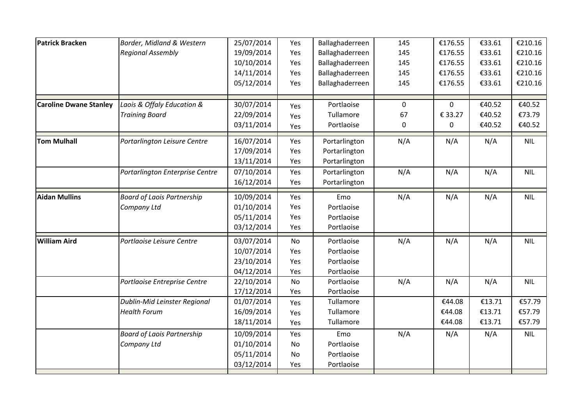| Patrick Bracken               | Border, Midland & Western         | 25/07/2014 | Yes       | Ballaghaderreen | 145         | €176.55      | €33.61 | €210.16    |
|-------------------------------|-----------------------------------|------------|-----------|-----------------|-------------|--------------|--------|------------|
|                               | <b>Regional Assembly</b>          | 19/09/2014 | Yes       | Ballaghaderreen | 145         | €176.55      | €33.61 | €210.16    |
|                               |                                   | 10/10/2014 | Yes       | Ballaghaderreen | 145         | €176.55      | €33.61 | €210.16    |
|                               |                                   | 14/11/2014 | Yes       | Ballaghaderreen | 145         | €176.55      | €33.61 | €210.16    |
|                               |                                   | 05/12/2014 | Yes       | Ballaghaderreen | 145         | €176.55      | €33.61 | €210.16    |
| <b>Caroline Dwane Stanley</b> | Laois & Offaly Education &        | 30/07/2014 | Yes       | Portlaoise      | $\mathbf 0$ | $\mathbf{0}$ | €40.52 | €40.52     |
|                               | <b>Training Board</b>             | 22/09/2014 | Yes       | Tullamore       | 67          | € 33.27      | €40.52 | €73.79     |
|                               |                                   | 03/11/2014 | Yes       | Portlaoise      | $\pmb{0}$   | 0            | €40.52 | €40.52     |
| <b>Tom Mulhall</b>            | Portarlington Leisure Centre      | 16/07/2014 | Yes       | Portarlington   | N/A         | N/A          | N/A    | <b>NIL</b> |
|                               |                                   | 17/09/2014 | Yes       | Portarlington   |             |              |        |            |
|                               |                                   | 13/11/2014 | Yes       | Portarlington   |             |              |        |            |
|                               | Portarlington Enterprise Centre   | 07/10/2014 | Yes       | Portarlington   | N/A         | N/A          | N/A    | <b>NIL</b> |
|                               |                                   | 16/12/2014 | Yes       | Portarlington   |             |              |        |            |
| <b>Aidan Mullins</b>          | <b>Board of Laois Partnership</b> | 10/09/2014 | Yes       | Emo             | N/A         | N/A          | N/A    | <b>NIL</b> |
|                               | Company Ltd                       | 01/10/2014 | Yes       | Portlaoise      |             |              |        |            |
|                               |                                   | 05/11/2014 | Yes       | Portlaoise      |             |              |        |            |
|                               |                                   | 03/12/2014 | Yes       | Portlaoise      |             |              |        |            |
| <b>William Aird</b>           | Portlaoise Leisure Centre         | 03/07/2014 | <b>No</b> | Portlaoise      | N/A         | N/A          | N/A    | <b>NIL</b> |
|                               |                                   | 10/07/2014 | Yes       | Portlaoise      |             |              |        |            |
|                               |                                   | 23/10/2014 | Yes       | Portlaoise      |             |              |        |            |
|                               |                                   | 04/12/2014 | Yes       | Portlaoise      |             |              |        |            |
|                               | Portlaoise Entreprise Centre      | 22/10/2014 | No        | Portlaoise      | N/A         | N/A          | N/A    | <b>NIL</b> |
|                               |                                   | 17/12/2014 | Yes       | Portlaoise      |             |              |        |            |
|                               | Dublin-Mid Leinster Regional      | 01/07/2014 | Yes       | Tullamore       |             | €44.08       | €13.71 | €57.79     |
|                               | <b>Health Forum</b>               | 16/09/2014 | Yes       | Tullamore       |             | €44.08       | €13.71 | €57.79     |
|                               |                                   | 18/11/2014 | Yes       | Tullamore       |             | €44.08       | €13.71 | €57.79     |
|                               | <b>Board of Laois Partnership</b> | 10/09/2014 | Yes       | Emo             | N/A         | N/A          | N/A    | <b>NIL</b> |
|                               | Company Ltd                       | 01/10/2014 | No        | Portlaoise      |             |              |        |            |
|                               |                                   | 05/11/2014 | No        | Portlaoise      |             |              |        |            |
|                               |                                   | 03/12/2014 | Yes       | Portlaoise      |             |              |        |            |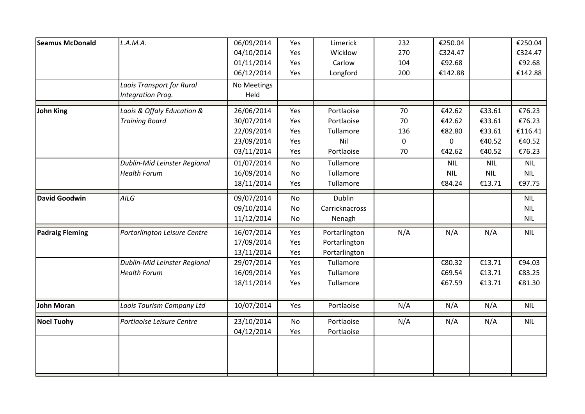| <b>Seamus McDonald</b> | L.A.M.A.                     | 06/09/2014  | Yes | Limerick       | 232         | €250.04    |            | €250.04    |
|------------------------|------------------------------|-------------|-----|----------------|-------------|------------|------------|------------|
|                        |                              | 04/10/2014  | Yes | Wicklow        | 270         | €324.47    |            | €324.47    |
|                        |                              | 01/11/2014  | Yes | Carlow         | 104         | €92.68     |            | €92.68     |
|                        |                              | 06/12/2014  | Yes | Longford       | 200         | €142.88    |            | €142.88    |
|                        | Laois Transport for Rural    | No Meetings |     |                |             |            |            |            |
|                        | Integration Prog.            | Held        |     |                |             |            |            |            |
| <b>John King</b>       | Laois & Offaly Education &   | 26/06/2014  | Yes | Portlaoise     | 70          | €42.62     | €33.61     | €76.23     |
|                        | <b>Training Board</b>        | 30/07/2014  | Yes | Portlaoise     | 70          | €42.62     | €33.61     | €76.23     |
|                        |                              | 22/09/2014  | Yes | Tullamore      | 136         | €82.80     | €33.61     | €116.41    |
|                        |                              | 23/09/2014  | Yes | Nil            | $\mathbf 0$ | 0          | €40.52     | €40.52     |
|                        |                              | 03/11/2014  | Yes | Portlaoise     | 70          | €42.62     | €40.52     | €76.23     |
|                        | Dublin-Mid Leinster Regional | 01/07/2014  | No  | Tullamore      |             | <b>NIL</b> | <b>NIL</b> | <b>NIL</b> |
|                        | <b>Health Forum</b>          | 16/09/2014  | No  | Tullamore      |             | <b>NIL</b> | <b>NIL</b> | <b>NIL</b> |
|                        |                              | 18/11/2014  | Yes | Tullamore      |             | €84.24     | €13.71     | €97.75     |
| David Goodwin          | AILG                         | 09/07/2014  | No  | <b>Dublin</b>  |             |            |            | <b>NIL</b> |
|                        |                              | 09/10/2014  | No  | Carricknacross |             |            |            | <b>NIL</b> |
|                        |                              | 11/12/2014  | No  | Nenagh         |             |            |            | <b>NIL</b> |
| <b>Padraig Fleming</b> | Portarlington Leisure Centre | 16/07/2014  | Yes | Portarlington  | N/A         | N/A        | N/A        | <b>NIL</b> |
|                        |                              | 17/09/2014  | Yes | Portarlington  |             |            |            |            |
|                        |                              | 13/11/2014  | Yes | Portarlington  |             |            |            |            |
|                        | Dublin-Mid Leinster Regional | 29/07/2014  | Yes | Tullamore      |             | €80.32     | €13.71     | €94.03     |
|                        | <b>Health Forum</b>          | 16/09/2014  | Yes | Tullamore      |             | €69.54     | €13.71     | €83.25     |
|                        |                              | 18/11/2014  | Yes | Tullamore      |             | €67.59     | €13.71     | €81.30     |
| <b>John Moran</b>      | Laois Tourism Company Ltd    | 10/07/2014  | Yes | Portlaoise     | N/A         | N/A        | N/A        | <b>NIL</b> |
| <b>Noel Tuohy</b>      | Portlaoise Leisure Centre    | 23/10/2014  | No  | Portlaoise     | N/A         | N/A        | N/A        | <b>NIL</b> |
|                        |                              | 04/12/2014  | Yes | Portlaoise     |             |            |            |            |
|                        |                              |             |     |                |             |            |            |            |
|                        |                              |             |     |                |             |            |            |            |